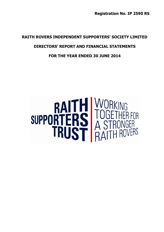**Registration No. IP 2590 RS**

# **RAITH ROVERS INDEPENDENT SUPPORTERS' SOCIETY LIMITED**

# **DIRECTORS' REPORT AND FINANCIAL STATEMENTS**

# **FOR THE YEAR ENDED 30 JUNE 2014**

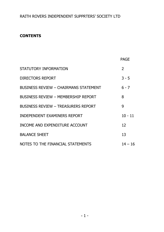# **CONTENTS**

|                                              | PAGE          |
|----------------------------------------------|---------------|
| STATUTORY INFORMATION                        | $\mathcal{P}$ |
| DIRECTORS REPORT                             | $3 - 5$       |
| <b>BUSINESS REVIEW - CHAIRMANS STATEMENT</b> | ճ - 7         |
| <b>BUSINESS REVIEW - MEMBERSHIP REPORT</b>   | 8             |
| BUSINESS REVIEW - TREASURERS REPORT          | 9             |
| INDEPENDENT EXAMINERS REPORT                 | $10 - 11$     |
| INCOME AND EXPENDITURE ACCOUNT               | 12            |
| <b>BALANCE SHEET</b>                         | 13            |
| NOTES TO THE FINANCIAL STATEMENTS            | 14 – 16       |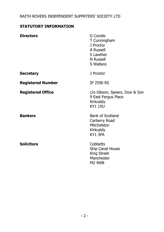# **STATUTORY INFORMATION**

| <b>Directors</b>         | G Condie<br>T Cunningham<br>J Proctor<br>A Russell<br>S Lawther<br><b>N</b> Russell<br>S Wallace |
|--------------------------|--------------------------------------------------------------------------------------------------|
| <b>Secretary</b>         | J Proctor                                                                                        |
| <b>Registered Number</b> | <b>IP 2590 RS</b>                                                                                |
| <b>Registered Office</b> | c/o Gibson, Spears, Dow & Son<br>9 East Fergus Place<br>Kirkcaldy<br>KY1 1XU                     |
| <b>Bankers</b>           | <b>Bank of Scotland</b><br>Carberry Road<br>Mitchelston<br>Kirkcaldy<br>KY1 3PA                  |
| <b>Solicitors</b>        | Cobbetts<br>Ship Canal House<br>King Street<br>Manchester<br><b>M2 4WB</b>                       |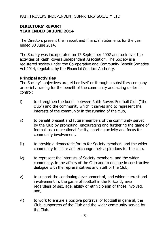#### **DIRECTORS' REPORT YEAR ENDED 30 JUNE 2014**

The Directors present their report and financial statements for the year ended 30 June 2014.

The Society was incorporated on 17 September 2002 and took over the activities of Raith Rovers Independent Association. The Society is a registered society under the Co-operative and Community Benefit Societies Act 2014, regulated by the Financial Conduct Authority.

#### **Principal activities**

The Society's objectives are, either itself or through a subsidiary company or society trading for the benefit of the community and acting under its control:

- i) to strengthen the bonds between Raith Rovers Football Club ("the club") and the community which it serves and to represent the interests of the community in the running of the club,
- ii) to benefit present and future members of the community served by the Club by promoting, encouraging and furthering the game of football as a recreational facility, sporting activity and focus for community involvement,
- iii) to provide a democratic forum for Society members and the wider community to share and exchange their aspirations for the club,
- iv) to represent the interests of Society members, and the wider community, in the affairs of the Club and to engage in constructive dialogue with the representatives and staff of the Club,
- v) to support the continuing development of, and widen interest and involvement in, the game of football in the Kirkcaldy area regardless of sex, age, ability or ethnic origin of those involved, and,
- vi) to work to ensure a positive portrayal of football in general, the Club, supporters of the Club and the wider community served by the Club.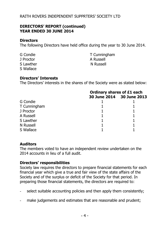#### **DIRECTORS' REPORT (continued) YEAR ENDED 30 JUNE 2014**

#### **Directors**

The following Directors have held office during the year to 30 June 2014.

J Proctor A Russell S Wallace

G Condie T Cunningham S Lawther New Solution New Solution New Solution New York 1989

#### **Directors' Interests**

The Directors' interests in the shares of the Society were as stated below:

|              | <b>Ordinary shares of £1 each</b> |                           |
|--------------|-----------------------------------|---------------------------|
|              |                                   | 30 June 2014 30 June 2013 |
| G Condie     |                                   |                           |
| T Cunningham |                                   |                           |
| J Proctor    |                                   |                           |
| A Russell    |                                   |                           |
| S Lawther    |                                   |                           |
| N Russell    |                                   |                           |
| S Wallace    |                                   |                           |

#### **Auditors**

The members voted to have an independent review undertaken on the 2014 accounts in lieu of a full audit.

#### **Directors' responsibilities**

Society law requires the directors to prepare financial statements for each financial year which give a true and fair view of the state affairs of the Society and of the surplus or deficit of the Society for that period. In preparing those financial statements, the directors are required to:

- select suitable accounting policies and then apply them consistently;
- make judgements and estimates that are reasonable and prudent;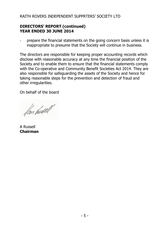#### **DIRECTORS' REPORT (continued) YEAR ENDED 30 JUNE 2014**

- prepare the financial statements on the going concern basis unless it is inappropriate to presume that the Society will continue in business.

The directors are responsible for keeping proper accounting records which disclose with reasonable accuracy at any time the financial position of the Society and to enable them to ensure that the financial statements comply with the Co-operative and Community Benefit Societies Act 2014. They are also responsible for safeguarding the assets of the Society and hence for taking reasonable steps for the prevention and detection of fraud and other irregularities.

On behalf of the board

fan husell

A Russell **Chairman**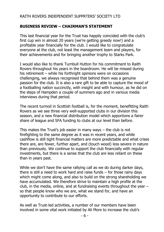#### **BUSINESS REVIEW – CHAIRMAN'S STATEMENT**

This last financial year for the Trust has happily coincided with the club's first cup win in almost 20 years (we're getting greedy now!) and a profitable year financially for the club. I would like to congratulate everyone at the club, not least the management team and players, for their achievements and for bringing another trophy to Starks Park.

I would also like to thank Turnbull Hutton for his commitment to Raith Rovers throughout his years in the boardroom. He will be missed during his retirement – while his forthright opinions were on occasions challenging, we always recognised that behind them was a genuine passion for the club. It is also a rare gift to be able to capture the mood of a footballing nation succinctly, with insight and with humour, as he did on the steps of Hampden a couple of summers ago and in various media interviews during that period.

The recent turmoil in Scottish football is, for the moment, benefitting Raith Rovers as we see three very well-supported clubs in our division this season, and a new financial distribution model which apportions a fairer share of league and SFA funding to clubs at our level than before.

This makes the Trust's job easier in many ways – the club is not firefighting to the same degree as it was in recent years, and while cashflow is still tight financial matters are more predictable and what crises there are, are fewer, further apart, and (touch wood) less severe in nature than previously. We continue to support the club financially with regular investments, but there is a sense that the club are less reliant on these than in years past.

While we don't have the same rallying call as we do during darker days, there is still a need to work hard and raise funds – for those rainy days which might come along, and also to build on the strong shareholding we have accumulated. We therefore strive to maintain a high profile at the club, in the media, online, and at fundraising events throughout the year – so that people know who we are, what we stand for, and have an opportunity to contribute to our efforts.

As well as Trust-led activities, a number of our members have been involved in some vital work initiated by Ali More to increase the club's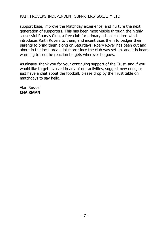support base, improve the Matchday experience, and nurture the next generation of supporters. This has been most visible through the highly successful Roary's Club, a free club for primary school children which introduces Raith Rovers to them, and incentivises them to badger their parents to bring them along on Saturdays! Roary Rover has been out and about in the local area a lot more since the club was set up, and it is heartwarming to see the reaction he gets wherever he goes.

As always, thank you for your continuing support of the Trust, and if you would like to get involved in any of our activities, suggest new ones, or just have a chat about the football, please drop by the Trust table on matchdays to say hello.

Alan Russell **CHAIRMAN**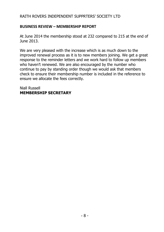#### **BUSINESS REVIEW – MEMBERSHIP REPORT**

At June 2014 the membership stood at 232 compared to 215 at the end of June 2013.

We are very pleased with the increase which is as much down to the improved renewal process as it is to new members joining. We get a great response to the reminder letters and we work hard to follow up members who haven't renewed. We are also encouraged by the number who continue to pay by standing order though we would ask that members check to ensure their membership number is included in the reference to ensure we allocate the fees correctly.

Niall Russell **MEMBERSHIP SECRETARY**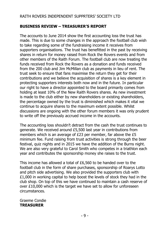#### **BUSINESS REVIEW – TREASURER'S REPORT**

The accounts to June 2014 show the first accounting loss the trust has made. This is due to some changes in the approach the football club wish to take regarding some of the fundraising income it receives from supporters organisations. The trust has benefitted in the past by receiving shares in return for money raised from Rock the Rovers events and from other members of the Raith Forum. The football club are now treating the funds received from Rock the Rovers as a donation and funds received from the 200 club and Jim McMillan club as payments in lieu of rent. The trust seek to ensure that fans maximise the return they get for their contributions and we believe the acquisition of shares is a key element in protecting supporters interests both now and in the future. In particular our right to have a director appointed to the board primarily comes from holding at least 10% of the New Raith Rovers shares. As new investment is made to the club either by new shareholders or existing shareholders, the percentage owned by the trust is diminished which makes it vital we continue to acquire shares to the maximum extent possible. Whilst discussions are ongoing with the other forum members it was only prudent to write off the previously accrued income in the accounts.

The accounting loss shouldn't detract from the cash the trust continues to generate. We received around £5,500 last year in contributions from members which is an average of £23 per member, far above the £5 minimum fee. Fund raising from trust activities is strong through the beer festival, quiz nights and in 2015 we have the addition of the Burns night. We are also very grateful to Carol Smith who competes in a triathlon each year and contributes the sponsorship money she raises to the trust.

This income has allowed a total of £6,560 to be handed over to the football club in the form of share purchases, sponsorship of Roarys Lotto and pitch side advertising. We also provided the supporters club with £1,000 in working capital to help boost the levels of stock they had in the club shop. On top of this we have continued to maintain a cash reserve of over £10,000 which is the target we have set to allow for unforeseen circumstances.

Graeme Condie **TREASURER**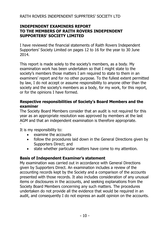### **INDEPENDENT EXAMINERS REPORT TO THE MEMBERS OF RAITH ROVERS INDEPENDENT SUPPORTERS' SOCIETY LIMITED**

I have reviewed the financial statements of Raith Rovers Independent Supporters' Society Limited on pages 12 to 16 for the year to 30 June 2014.

This report is made solely to the society's members, as a body. My examination work has been undertaken so that I might state to the society's members those matters I am required to state to them in an examiners' report and for no other purpose. To the fullest extent permitted by law, I do not accept or assume responsibility to anyone other than the society and the society's members as a body, for my work, for this report, or for the opinions I have formed.

### **Respective responsibilities of Society's Board Members and the examiner**

The Society Board Members consider that an audit is not required for this year as an appropriate resolution was approved by members at the last AGM and that an independent examination is therefore appropriate. `

It is my responsibility to:

- examine the accounts
- follow the procedures laid down in the General Directions given by Supporters Direct; and
- state whether particular matters have come to my attention.

## **Basis of Independent Examiner's statement**

My examination was carried out in accordance with General Directions given by Supporters Direct. An examination includes a review of the accounting records kept by the Society and a comparison of the accounts presented with those records. It also includes consideration of any unusual items or disclosures in the accounts, and seeking explanations from the Society Board Members concerning any such matters. The procedures undertaken do not provide all the evidence that would be required in an audit, and consequently I do not express an audit opinion on the accounts.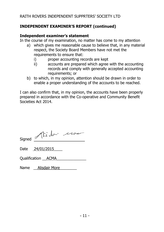# **INDEPENDENT EXAMINER'S REPORT (continued)**

#### **Independent examiner's statement**

In the course of my examination, no matter has come to my attention

- a) which gives me reasonable cause to believe that, in any material respect, the Society Board Members have not met the requirements to ensure that:
	- i) proper accounting records are kept
	- ii) accounts are prepared which agree with the accounting records and comply with generally accepted accounting requirements; or
- b) to which, in my opinion, attention should be drawn in order to enable a proper understanding of the accounts to be reached.

I can also confirm that, in my opinion, the accounts have been properly prepared in accordance with the Co-operative and Community Benefit Societies Act 2014.

| Signed Alisdo-100  |
|--------------------|
| Date 24/01/2015    |
| Qualification ACMA |
| Name Alisdair More |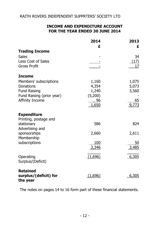## **INCOME AND EXPENDITURE ACCOUNT FOR THE YEAR ENDED 30 JUNE 2014**

|                                 | 2014               | 2013        |
|---------------------------------|--------------------|-------------|
|                                 | £                  | £           |
| <b>Trading Income</b>           |                    |             |
| Sales                           |                    | 34          |
| Less Cost of Sales              |                    | (17)        |
| <b>Gross Profit</b>             |                    | 17          |
| <b>Income</b>                   |                    |             |
| Members' subscriptions          | 1,160              | 1,075       |
| Donations                       | 4,354              | 5,073       |
| Fund Raising                    | 1,240              | 3,560       |
| Fund Raising (prior year)       | (5,200)            |             |
| Affinity Income                 | <u>96</u><br>1,650 | 65<br>9,773 |
| <b>Expenditure</b>              |                    |             |
| Printing, postage and           |                    |             |
| stationary                      | 586                | 824         |
| Advertising and<br>sponsorships | 2,660              | 2,611       |
| Membership                      |                    |             |
| subscriptions                   | 100                | 50          |
|                                 | 3,346              | 3,485       |
| Operating                       | (1,696)            | 6,305       |
| Surplus/(Deficit)               |                    |             |
| <b>Retained</b>                 |                    |             |
| surplus/(deficit) for           | (1,696)            | 6,305       |
| the year                        |                    |             |

The notes on pages 14 to 16 form part of these financial statements.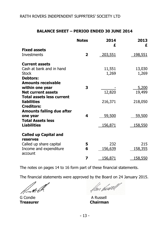#### **BALANCE SHEET – PERIOD ENDED 30 JUNE 2014**

|                                                               | <b>Notes</b> | 2014<br>£       | 2013<br>£       |
|---------------------------------------------------------------|--------------|-----------------|-----------------|
| <b>Fixed assets</b><br><b>Investments</b>                     | $\mathbf{z}$ | 203,551         | 198,551         |
|                                                               |              |                 |                 |
| <b>Current assets</b>                                         |              |                 |                 |
| Cash at bank and in hand<br>Stock                             |              | 11,551<br>1,269 | 13,030<br>1,269 |
| <b>Debtors:</b>                                               |              |                 |                 |
| <b>Amounts receivable</b>                                     |              |                 |                 |
| within one year                                               | 3            |                 | 5,200           |
| <b>Net current assets</b><br><b>Total assets less current</b> |              | 12,820          | 19,499          |
| <b>liabilities</b>                                            |              | 216,371         | 218,050         |
| <b>Creditors:</b>                                             |              |                 |                 |
| <b>Amounts falling due after</b>                              | 4            | 59,500          | 59,500          |
| one year<br><b>Total Assets less</b>                          |              |                 |                 |
| <b>Liabilities</b>                                            |              | 156,871         | <u>158,550</u>  |
| <b>Called up Capital and</b>                                  |              |                 |                 |
| reserves                                                      |              |                 |                 |
| Called up share capital                                       | 5            | 232             | 215             |
| Income and expenditure<br>account                             | 6            | 156,639         | 158,355         |
|                                                               | 7            | 156,871         | <u>158,550</u>  |

The notes on pages 14 to 16 form part of these financial statements.

The financial statements were approved by the Board on 24 January 2015.

G Condie A Russell **Treasurer** 

fan sússell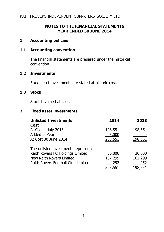#### **NOTES TO THE FINANCIAL STATEMENTS YEAR ENDED 30 JUNE 2014**

#### **1 Accounting policies**

#### **1.1 Accounting convention**

The financial statements are prepared under the historical convention.

#### **1.2 Investments**

Fixed asset investments are stated at historic cost.

#### **1.3 Stock**

Stock is valued at cost.

# **2 Fixed asset investments**

| <b>Unlisted Investments</b><br>Cost   | 2014             | 2013           |
|---------------------------------------|------------------|----------------|
| At Cost 1 July 2013                   | 198,551          | 198,551        |
| Added in Year<br>At Cost 30 June 2014 | 5,000<br>203,551 | <u>198,551</u> |
|                                       |                  |                |
| The unlisted investments represent:   |                  |                |
| Raith Rovers FC Holdings Limited      | 36,000           | 36,000         |
| New Raith Rovers Limited              | 167,299          | 162,299        |
| Raith Rovers Football Club Limited    | 252              | 252            |
|                                       | <u>203,551</u>   | <u>198,551</u> |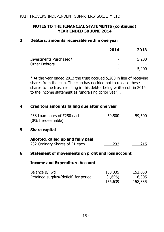### **NOTES TO THE FINANCIAL STATEMENTS (continued) YEAR ENDED 30 JUNE 2014**

#### **3 Debtors: amounts receivable within one year**

|                        | 2014 | 2013  |
|------------------------|------|-------|
| Investments Purchased* | -    | 5,200 |
| Other Debtors          | -    | 5.200 |

\* At the year ended 2013 the trust accrued 5,200 in lieu of receiving shares from the club. The club has decided not to release these shares to the trust resulting in this debtor being written off in 2014 to the income statement as fundraising (prior year) .

#### **4 Creditors amounts falling due after one year**

| 238 Loan notes of £250 each | $-59,500$ | 59,500 |
|-----------------------------|-----------|--------|
| (0% Irredeemable)           |           |        |

#### **5 Share capital**

| Allotted, called up and fully paid |     |     |
|------------------------------------|-----|-----|
| 232 Ordinary Shares of £1 each     | 232 | 215 |

#### **6 Statement of movements on profit and loss account**

#### **Income and Expenditure Account**

| Balance B/Fwd                         | 158,335        | 152,030        |
|---------------------------------------|----------------|----------------|
| Retained surplus/(deficit) for period | (1,696)        | 6,305          |
|                                       | <u>156,639</u> | <u>158,335</u> |